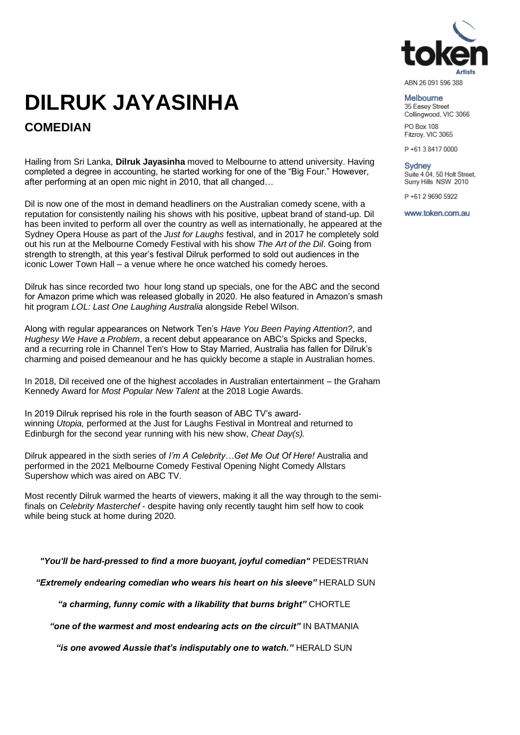

## **DILRUK JAYASINHA COMEDIAN**

Hailing from Sri Lanka, **Dilruk Jayasinha** moved to Melbourne to attend university. Having completed a degree in accounting, he started working for one of the "Big Four." However, after performing at an open mic night in 2010, that all changed…

Dil is now one of the most in demand headliners on the Australian comedy scene, with a reputation for consistently nailing his shows with his positive, upbeat brand of stand-up. Dil has been invited to perform all over the country as well as internationally, he appeared at the Sydney Opera House as part of the *Just for Laughs* festival, and in 2017 he completely sold out his run at the Melbourne Comedy Festival with his show *The Art of the Dil*. Going from strength to strength, at this year's festival Dilruk performed to sold out audiences in the iconic Lower Town Hall – a venue where he once watched his comedy heroes.

Dilruk has since recorded two hour long stand up specials, one for the ABC and the second for Amazon prime which was released globally in 2020. He also featured in Amazon's smash hit program *LOL: Last One Laughing Australia* alongside Rebel Wilson.

Along with regular appearances on Network Ten's *Have You Been Paying Attention?*, and *Hughesy We Have a Problem*, a recent debut appearance on ABC's Spicks and Specks, and a recurring role in Channel Ten's How to Stay Married, Australia has fallen for Dilruk's charming and poised demeanour and he has quickly become a staple in Australian homes.

In 2018, Dil received one of the highest accolades in Australian entertainment – the Graham Kennedy Award for *Most Popular New Talent* at the 2018 Logie Awards.

In 2019 Dilruk reprised his role in the fourth season of ABC TV's awardwinning *Utopia,* performed at the Just for Laughs Festival in Montreal and returned to Edinburgh for the second year running with his new show, *Cheat Day(s).*

Dilruk appeared in the sixth series of *I'm A Celebrity…Get Me Out Of Here!* Australia and performed in the 2021 Melbourne Comedy Festival Opening Night Comedy Allstars Supershow which was aired on ABC TV.

Most recently Dilruk warmed the hearts of viewers, making it all the way through to the semifinals on *Celebrity Masterchef* - despite having only recently taught him self how to cook while being stuck at home during 2020.

*"You'll be hard-pressed to find a more buoyant, joyful comedian"* PEDESTRIAN

*"Extremely endearing comedian who wears his heart on his sleeve"* HERALD SUN

*"a charming, funny comic with a likability that burns bright"* CHORTLE

*"one of the warmest and most endearing acts on the circuit"* IN BATMANIA

*"is one avowed Aussie that's indisputably one to watch."* HERALD SUN

#### Melhourne

35 Easey Street Collingwood, VIC 3066 PO Box 108

Fitzroy, VIC 3065

P+61384170000

#### **Sydney** Suite 4.04, 50 Holt Street, Surry Hills NSW 2010

P+61 2 9690 5922

www.token.com.au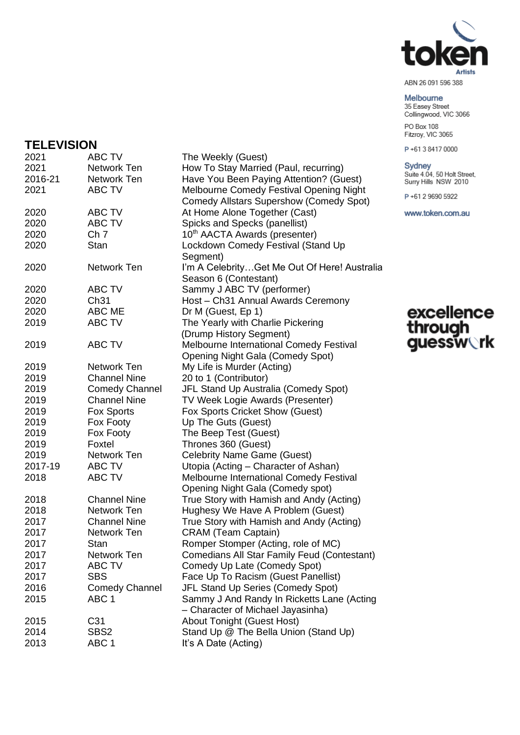

#### Melbourne

35 Easey Street<br>Collingwood, VIC 3066 PO Box 108 Fitzroy, VIC 3065

P+61384170000

#### Sydney

Suite 4.04, 50 Holt Street,<br>Surry Hills NSW 2010

P+61296905922

www.token.com.au

# excellence<br>through<br>guessw**ork**

### **TELEVISION**

| 2021    | ABC TV                | The Weekly (Guest)                                 |
|---------|-----------------------|----------------------------------------------------|
| 2021    | Network Ten           | How To Stay Married (Paul, recurring)              |
| 2016-21 | Network Ten           | Have You Been Paying Attention? (Guest)            |
| 2021    | ABC TV                | Melbourne Comedy Festival Opening Night            |
|         |                       | <b>Comedy Allstars Supershow (Comedy Spot)</b>     |
| 2020    | ABC TV                | At Home Alone Together (Cast)                      |
| 2020    | ABC TV                | Spicks and Specks (panellist)                      |
| 2020    | Ch <sub>7</sub>       | 10 <sup>th</sup> AACTA Awards (presenter)          |
| 2020    | Stan                  | Lockdown Comedy Festival (Stand Up                 |
|         |                       | Segment)                                           |
| 2020    | Network Ten           | I'm A CelebrityGet Me Out Of Here! Australia       |
|         |                       | Season 6 (Contestant)                              |
| 2020    | ABC TV                | Sammy J ABC TV (performer)                         |
| 2020    | Ch31                  | Host - Ch31 Annual Awards Ceremony                 |
| 2020    | ABC ME                | Dr M (Guest, Ep 1)                                 |
| 2019    | <b>ABC TV</b>         | The Yearly with Charlie Pickering                  |
|         |                       | (Drump History Segment)                            |
| 2019    | <b>ABC TV</b>         | Melbourne International Comedy Festival            |
|         |                       | Opening Night Gala (Comedy Spot)                   |
| 2019    | Network Ten           | My Life is Murder (Acting)                         |
| 2019    | <b>Channel Nine</b>   | 20 to 1 (Contributor)                              |
| 2019    | <b>Comedy Channel</b> | JFL Stand Up Australia (Comedy Spot)               |
| 2019    | <b>Channel Nine</b>   | TV Week Logie Awards (Presenter)                   |
| 2019    | Fox Sports            | Fox Sports Cricket Show (Guest)                    |
| 2019    | Fox Footy             | Up The Guts (Guest)                                |
| 2019    | Fox Footy             | The Beep Test (Guest)                              |
| 2019    | Foxtel                | Thrones 360 (Guest)                                |
| 2019    | Network Ten           | <b>Celebrity Name Game (Guest)</b>                 |
| 2017-19 | ABC TV                | Utopia (Acting - Character of Ashan)               |
| 2018    | ABC TV                | Melbourne International Comedy Festival            |
|         |                       | Opening Night Gala (Comedy spot)                   |
| 2018    | <b>Channel Nine</b>   | True Story with Hamish and Andy (Acting)           |
| 2018    | Network Ten           | Hughesy We Have A Problem (Guest)                  |
| 2017    | <b>Channel Nine</b>   | True Story with Hamish and Andy (Acting)           |
| 2017    | <b>Network Ten</b>    | <b>CRAM</b> (Team Captain)                         |
| 2017    | Stan                  | Romper Stomper (Acting, role of MC)                |
| 2017    | Network Ten           | <b>Comedians All Star Family Feud (Contestant)</b> |
| 2017    | ABC TV                | Comedy Up Late (Comedy Spot)                       |
| 2017    | <b>SBS</b>            | Face Up To Racism (Guest Panellist)                |
| 2016    | <b>Comedy Channel</b> | JFL Stand Up Series (Comedy Spot)                  |
| 2015    | ABC <sub>1</sub>      | Sammy J And Randy In Ricketts Lane (Acting         |
|         |                       | - Character of Michael Jayasinha)                  |
| 2015    | C <sub>31</sub>       | <b>About Tonight (Guest Host)</b>                  |
| 2014    | SBS <sub>2</sub>      | Stand Up @ The Bella Union (Stand Up)              |
| 2013    | ABC <sub>1</sub>      | It's A Date (Acting)                               |
|         |                       |                                                    |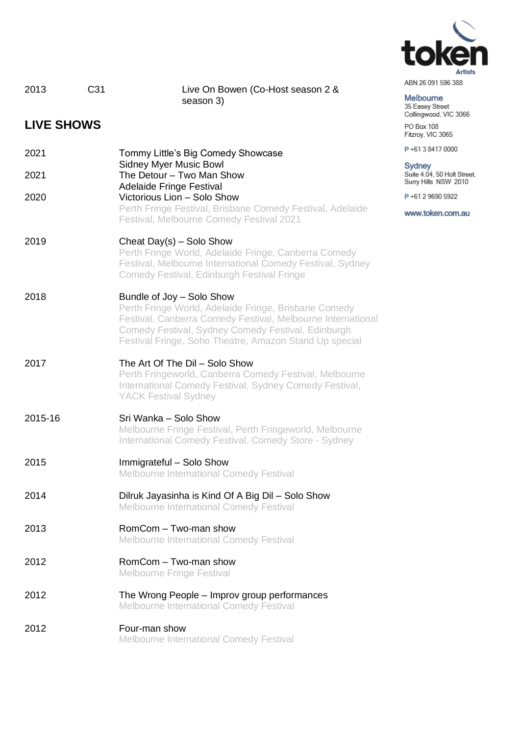

| ABN 26 091 596 388 |  |  |
|--------------------|--|--|
|                    |  |  |

#### Melbourne 35 Easey Street<br>Collingwood, VIC 3066 PO Box 108

Fitzroy, VIC 3065

P+61384170000

## Sydney Suite 4.04, 50 Holt Street,<br>Surry Hills NSW 2010

P+61296905922

www.token.com.au

| 2013              | C <sub>31</sub><br>Live On Bowen (Co-Host season 2 &<br>season 3)                                                                                                                                                                                                |
|-------------------|------------------------------------------------------------------------------------------------------------------------------------------------------------------------------------------------------------------------------------------------------------------|
| <b>LIVE SHOWS</b> |                                                                                                                                                                                                                                                                  |
| 2021              | Tommy Little's Big Comedy Showcase<br><b>Sidney Myer Music Bowl</b>                                                                                                                                                                                              |
| 2021              | The Detour - Two Man Show<br><b>Adelaide Fringe Festival</b>                                                                                                                                                                                                     |
| 2020              | Victorious Lion - Solo Show<br>Perth Fringe Festival, Brisbane Comedy Festival, Adelaide<br>Festival, Melbourne Comedy Festival 2021                                                                                                                             |
| 2019              | Cheat Day(s) - Solo Show<br>Perth Fringe World, Adelaide Fringe, Canberra Comedy<br>Festival, Melbourne International Comedy Festival, Sydney<br>Comedy Festival, Edinburgh Festival Fringe                                                                      |
| 2018              | Bundle of Joy - Solo Show<br>Perth Fringe World, Adelaide Fringe, Brisbane Comedy<br>Festival, Canberra Comedy Festival, Melbourne International<br>Comedy Festival, Sydney Comedy Festival, Edinburgh<br>Festival Fringe, Soho Theatre, Amazon Stand Up special |
| 2017              | The Art Of The Dil - Solo Show<br>Perth Fringeworld, Canberra Comedy Festival, Melbourne<br>International Comedy Festival, Sydney Comedy Festival,<br><b>YACK Festival Sydney</b>                                                                                |
| 2015-16           | Sri Wanka - Solo Show<br>Melbourne Fringe Festival, Perth Fringeworld, Melbourne<br>International Comedy Festival, Comedy Store - Sydney                                                                                                                         |
| 2015              | Immigrateful - Solo Show<br><b>Melbourne International Comedy Festival</b>                                                                                                                                                                                       |
| 2014              | Dilruk Jayasinha is Kind Of A Big Dil - Solo Show<br><b>Melbourne International Comedy Festival</b>                                                                                                                                                              |
| 2013              | RomCom - Two-man show<br><b>Melbourne International Comedy Festival</b>                                                                                                                                                                                          |
| 2012              | RomCom - Two-man show<br><b>Melbourne Fringe Festival</b>                                                                                                                                                                                                        |
| 2012              | The Wrong People – Improv group performances<br><b>Melbourne International Comedy Festival</b>                                                                                                                                                                   |

#### 2012 Four-man show Melbourne International Comedy Festival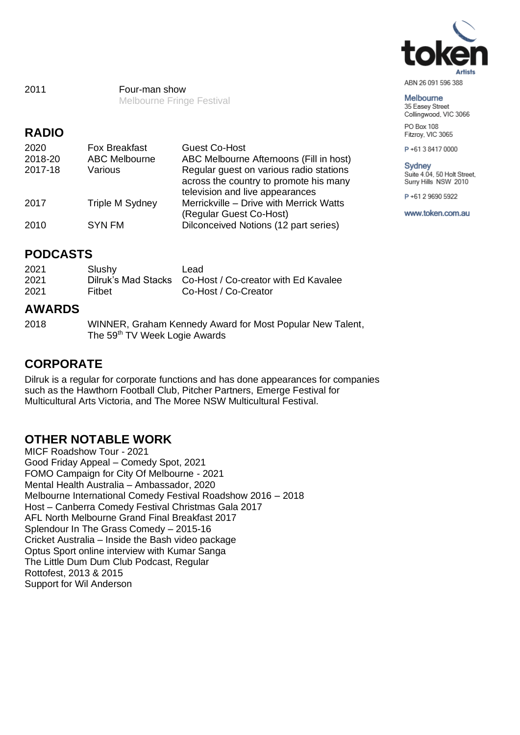

## Melbourne

35 Easey Street Collingwood, VIC 3066 PO Box 108

Fitzroy, VIC 3065

P+61384170000

#### **Sydney**

Suite 4.04, 50 Holt Street, Surry Hills NSW 2010

P+61 2 9690 5922

www.token.com.au

2011 Four-man show Melbourne Fringe Festival

## **RADIO**

| 2020    | <b>Fox Breakfast</b> | <b>Guest Co-Host</b>                    |
|---------|----------------------|-----------------------------------------|
| 2018-20 | <b>ABC Melbourne</b> | ABC Melbourne Afternoons (Fill in host) |
| 2017-18 | Various              | Regular guest on various radio stations |
|         |                      | across the country to promote his many  |
|         |                      | television and live appearances         |
| 2017    | Triple M Sydney      | Merrickville - Drive with Merrick Watts |
|         |                      | (Regular Guest Co-Host)                 |
| 2010    | <b>SYN FM</b>        | Dilconceived Notions (12 part series)   |

## **PODCASTS**

| 2021<br>2021 | Slushy | Lead<br>Dilruk's Mad Stacks Co-Host / Co-creator with Ed Kavalee |
|--------------|--------|------------------------------------------------------------------|
| 2021         | Fithet | Co-Host / Co-Creator                                             |

## **AWARDS**

2018 WINNER, Graham Kennedy Award for Most Popular New Talent, The 59<sup>th</sup> TV Week Logie Awards

## **CORPORATE**

Dilruk is a regular for corporate functions and has done appearances for companies such as the Hawthorn Football Club, Pitcher Partners, Emerge Festival for Multicultural Arts Victoria, and The Moree NSW Multicultural Festival.

## **OTHER NOTABLE WORK**

MICF Roadshow Tour - 2021 Good Friday Appeal – Comedy Spot, 2021 FOMO Campaign for City Of Melbourne - 2021 Mental Health Australia – Ambassador, 2020 Melbourne International Comedy Festival Roadshow 2016 – 2018 Host – Canberra Comedy Festival Christmas Gala 2017 AFL North Melbourne Grand Final Breakfast 2017 Splendour In The Grass Comedy – 2015-16 Cricket Australia – Inside the Bash video package Optus Sport online interview with Kumar Sanga The Little Dum Dum Club Podcast, Regular Rottofest, 2013 & 2015 Support for Wil Anderson